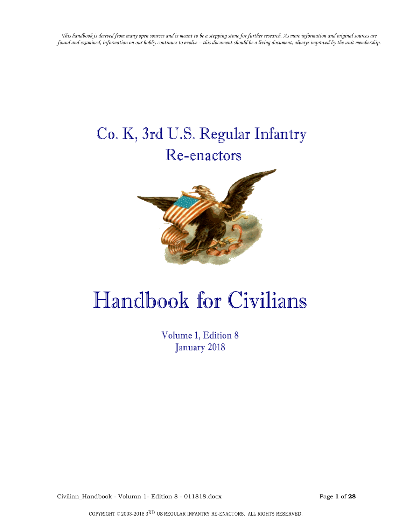## Co. K, 3rd U.S. Regular Infantry Re-enactors



# Handbook for Civilians

Volume 1, Edition 8 January 2018

Civilian\_Handbook - Volumn 1- Edition 8 - 011818.docx Page **1** of **28**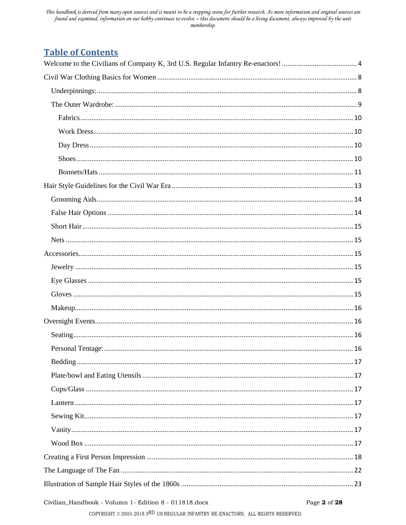This handbook is derived from many open sources and is meant to be a stepping stone for further research. As more information and original sources are<br>found and examined, information on our hobby continues to evolve – thi membership.

## **Table of Contents**

| Civilian_Handbook - Volumn 1- Edition 8 - 011818.docx | Page 2 of 28 |
|-------------------------------------------------------|--------------|

COPYRIGHT  $\textcircled{\,}$  2003-2018  $3^{\text{RD}}$  US REGULAR INFANTRY RE-ENACTORS. ALL RIGHTS RESERVED.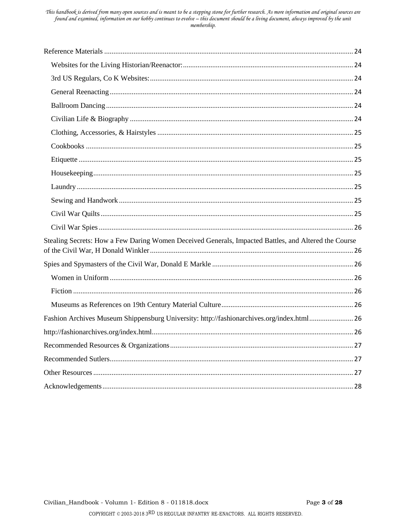This handbook is derived from many open sources and is meant to be a stepping stone for further research. As more information and original sources are<br>found and examined, information on our hobby continues to evolve – thi membership.

| Stealing Secrets: How a Few Daring Women Deceived Generals, Impacted Battles, and Altered the Course |  |
|------------------------------------------------------------------------------------------------------|--|
|                                                                                                      |  |
|                                                                                                      |  |
|                                                                                                      |  |
|                                                                                                      |  |
| Fashion Archives Museum Shippensburg University: http://fashionarchives.org/index.html 26            |  |
|                                                                                                      |  |
|                                                                                                      |  |
|                                                                                                      |  |
|                                                                                                      |  |
|                                                                                                      |  |

Civilian\_Handbook - Volumn 1- Edition  $8$  -  $011818.\mathtt{docx}$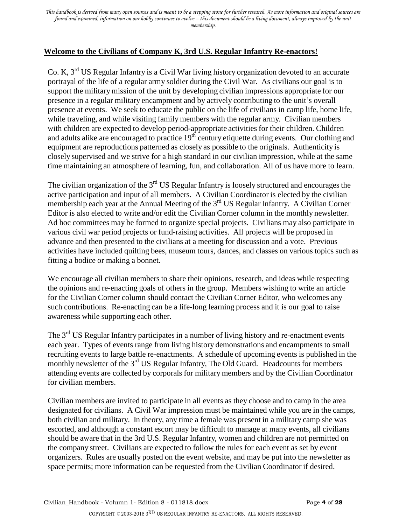## <span id="page-3-0"></span>**Welcome to the Civilians of Company K, 3rd U.S. Regular Infantry Re-enactors!**

Co. K,  $3<sup>rd</sup>$  US Regular Infantry is a Civil War living history organization devoted to an accurate portrayal of the life of a regular army soldier during the Civil War. As civilians our goal is to support the military mission of the unit by developing civilian impressions appropriate for our presence in a regular military encampment and by actively contributing to the unit's overall presence at events. We seek to educate the public on the life of civilians in camp life, home life, while traveling, and while visiting family members with the regular army. Civilian members with children are expected to develop period-appropriate activities for their children. Children and adults alike are encouraged to practice  $19<sup>th</sup>$  century etiquette during events. Our clothing and equipment are reproductions patterned as closely as possible to the originals. Authenticity is closely supervised and we strive for a high standard in our civilian impression, while at the same time maintaining an atmosphere of learning, fun, and collaboration. All of us have more to learn.

The civilian organization of the  $3<sup>rd</sup>$  US Regular Infantry is loosely structured and encourages the active participation and input of all members. A Civilian Coordinator is elected by the civilian membership each year at the Annual Meeting of the  $3<sup>rd</sup>$  US Regular Infantry. A Civilian Corner Editor is also elected to write and/or edit the Civilian Corner column in the monthly newsletter. Ad hoc committees may be formed to organize special projects. Civilians may also participate in various civil war period projects or fund-raising activities. All projects will be proposed in advance and then presented to the civilians at a meeting for discussion and a vote. Previous activities have included quilting bees, museum tours, dances, and classes on various topics such as fitting a bodice or making a bonnet.

We encourage all civilian members to share their opinions, research, and ideas while respecting the opinions and re-enacting goals of others in the group. Members wishing to write an article for the Civilian Corner column should contact the Civilian Corner Editor, who welcomes any such contributions. Re-enacting can be a life-long learning process and it is our goal to raise awareness while supporting each other.

The  $3<sup>rd</sup>$  US Regular Infantry participates in a number of living history and re-enactment events each year. Types of events range from living history demonstrations and encampments to small recruiting events to large battle re-enactments. A schedule of upcoming events is published in the monthly newsletter of the 3<sup>rd</sup> US Regular Infantry, The Old Guard. Headcounts for members attending events are collected by corporals for military members and by the Civilian Coordinator for civilian members.

Civilian members are invited to participate in all events as they choose and to camp in the area designated for civilians. A Civil War impression must be maintained while you are in the camps, both civilian and military. In theory, any time a female was present in a military camp she was escorted, and although a constant escort may be difficult to manage at many events, all civilians should be aware that in the 3rd U.S. Regular Infantry, women and children are not permitted on the company street. Civilians are expected to follow the rules for each event as set by event organizers. Rules are usually posted on the event website, and may be put into the newsletter as space permits; more information can be requested from the Civilian Coordinator if desired.

COPYRIGHT © 2003-2018 3RD US REGULAR INFANTRY RE-ENACTORS. ALL RIGHTS RESERVED.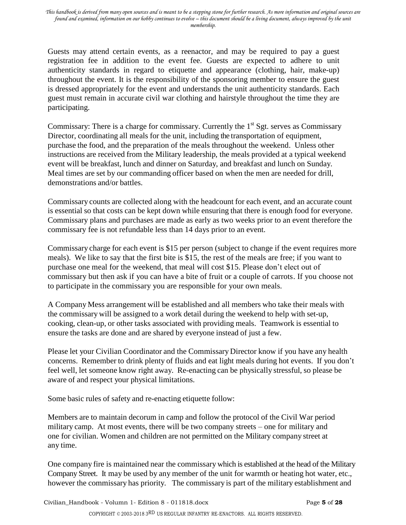Guests may attend certain events, as a reenactor, and may be required to pay a guest registration fee in addition to the event fee. Guests are expected to adhere to unit authenticity standards in regard to etiquette and appearance (clothing, hair, make-up) throughout the event. It is the responsibility of the sponsoring member to ensure the guest is dressed appropriately for the event and understands the unit authenticity standards. Each guest must remain in accurate civil war clothing and hairstyle throughout the time they are participating.

Commissary: There is a charge for commissary. Currently the  $1<sup>st</sup>$  Sgt. serves as Commissary Director, coordinating all meals for the unit, including the transportation of equipment, purchase the food, and the preparation of the meals throughout the weekend. Unless other instructions are received from the Military leadership, the meals provided at a typical weekend event will be breakfast, lunch and dinner on Saturday, and breakfast and lunch on Sunday. Meal times are set by our commanding officer based on when the men are needed for drill, demonstrations and/or battles.

Commissary counts are collected along with the headcount for each event, and an accurate count is essential so that costs can be kept down while ensuring that there is enough food for everyone. Commissary plans and purchases are made as early as two weeks prior to an event therefore the commissary fee is not refundable less than 14 days prior to an event.

Commissary charge for each event is \$15 per person (subject to change if the event requires more meals). We like to say that the first bite is \$15, the rest of the meals are free; if you want to purchase one meal for the weekend, that meal will cost \$15. Please don't elect out of commissary but then ask if you can have a bite of fruit or a couple of carrots. If you choose not to participate in the commissary you are responsible for your own meals.

A Company Mess arrangement will be established and all members who take their meals with the commissary will be assigned to a work detail during the weekend to help with set-up, cooking, clean-up, or other tasks associated with providing meals. Teamwork is essential to ensure the tasks are done and are shared by everyone instead of just a few.

Please let your Civilian Coordinator and the Commissary Director know if you have any health concerns. Remember to drink plenty of fluids and eat light meals during hot events. If you don't feel well, let someone know right away. Re-enacting can be physically stressful, so please be aware of and respect your physical limitations.

Some basic rules of safety and re-enacting etiquette follow:

Members are to maintain decorum in camp and follow the protocol of the Civil War period military camp. At most events, there will be two company streets – one for military and one for civilian. Women and children are not permitted on the Military company street at any time.

One company fire is maintained near the commissary which is established at the head of the Military Company Street. It may be used by any member of the unit for warmth or heating hot water, etc., however the commissary has priority. The commissary is part of the military establishment and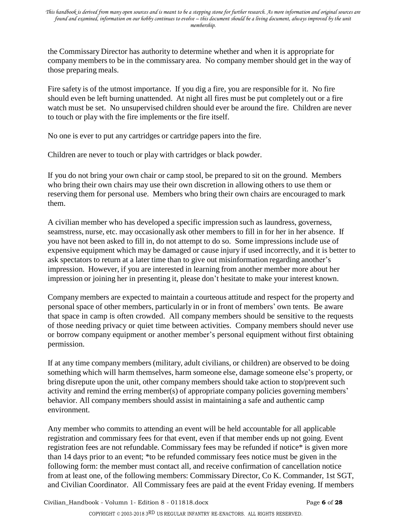the Commissary Director has authority to determine whether and when it is appropriate for company members to be in the commissary area. No company member should get in the way of those preparing meals.

Fire safety is of the utmost importance. If you dig a fire, you are responsible for it. No fire should even be left burning unattended. At night all fires must be put completely out or a fire watch must be set. No unsupervised children should ever be around the fire. Children are never to touch or play with the fire implements or the fire itself.

No one is ever to put any cartridges or cartridge papers into the fire.

Children are never to touch or play with cartridges or black powder.

If you do not bring your own chair or camp stool, be prepared to sit on the ground. Members who bring their own chairs may use their own discretion in allowing others to use them or reserving them for personal use. Members who bring their own chairs are encouraged to mark them.

A civilian member who has developed a specific impression such as laundress, governess, seamstress, nurse, etc. may occasionally ask other members to fill in for her in her absence. If you have not been asked to fill in, do not attempt to do so. Some impressions include use of expensive equipment which may be damaged or cause injury if used incorrectly, and it is better to ask spectators to return at a later time than to give out misinformation regarding another's impression. However, if you are interested in learning from another member more about her impression or joining her in presenting it, please don't hesitate to make your interest known.

Company members are expected to maintain a courteous attitude and respect for the property and personal space of other members, particularly in or in front of members' own tents. Be aware that space in camp is often crowded. All company members should be sensitive to the requests of those needing privacy or quiet time between activities. Company members should never use or borrow company equipment or another member's personal equipment without first obtaining permission.

If at any time company members (military, adult civilians, or children) are observed to be doing something which will harm themselves, harm someone else, damage someone else's property, or bring disrepute upon the unit, other company members should take action to stop/prevent such activity and remind the erring member(s) of appropriate company policies governing members' behavior. All company members should assist in maintaining a safe and authentic camp environment.

Any member who commits to attending an event will be held accountable for all applicable registration and commissary fees for that event, even if that member ends up not going. Event registration fees are not refundable. Commissary fees may be refunded if notice\* is given more than 14 days prior to an event; \*to be refunded commissary fees notice must be given in the following form: the member must contact all, and receive confirmation of cancellation notice from at least one, of the following members: Commissary Director, Co K. Commander, 1st SGT, and Civilian Coordinator. All Commissary fees are paid at the event Friday evening. If members

Civilian\_Handbook - Volumn 1- Edition 8 - 011818.docx Page **6** of **28**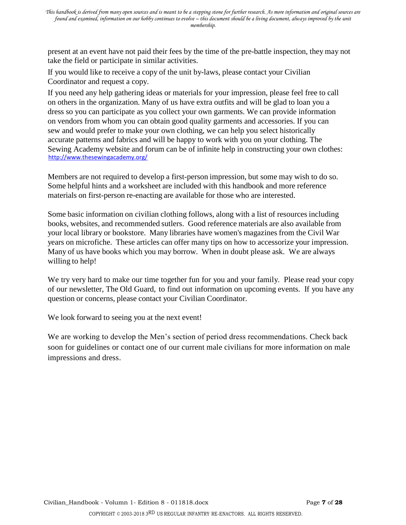present at an event have not paid their fees by the time of the pre-battle inspection, they may not take the field or participate in similar activities.

If you would like to receive a copy of the unit by-laws, please contact your Civilian Coordinator and request a copy.

If you need any help gathering ideas or materials for your impression, please feel free to call on others in the organization. Many of us have extra outfits and will be glad to loan you a dress so you can participate as you collect your own garments. We can provide information on vendors from whom you can obtain good quality garments and accessories. If you can sew and would prefer to make your own clothing, we can help you select historically accurate patterns and fabrics and will be happy to work with you on your clothing. The Sewing Academy website and forum can be of infinite help in constructing your own clothes: <http://www.thesewingacademy.org/>

Members are not required to develop a first-person impression, but some may wish to do so. Some helpful hints and a worksheet are included with this handbook and more reference materials on first-person re-enacting are available for those who are interested.

Some basic information on civilian clothing follows, along with a list of resources including books, websites, and recommended sutlers. Good reference materials are also available from your local library or bookstore. Many libraries have women's magazines from the Civil War years on microfiche. These articles can offer many tips on how to accessorize your impression. Many of us have books which you may borrow. When in doubt please ask. We are always willing to help!

We try very hard to make our time together fun for you and your family. Please read your copy of our newsletter, The Old Guard, to find out information on upcoming events. If you have any question or concerns, please contact your Civilian Coordinator.

We look forward to seeing you at the next event!

<span id="page-6-0"></span>We are working to develop the Men's section of period dress recommendations. Check back soon for guidelines or contact one of our current male civilians for more information on male impressions and dress.

COPYRIGHT © 2003-2018 3RD US REGULAR INFANTRY RE-ENACTORS. ALL RIGHTS RESERVED.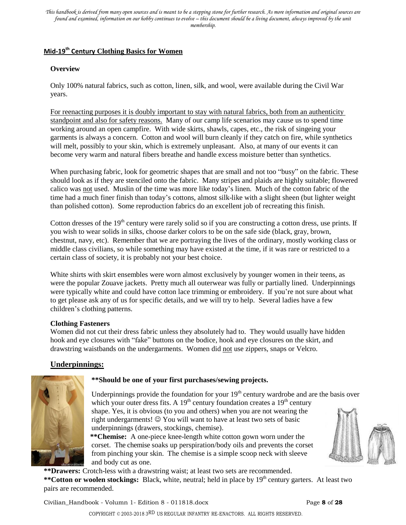#### **Mid-19th Century Clothing Basics for Women**

#### **Overview**

Only 100% natural fabrics, such as cotton, linen, silk, and wool, were available during the Civil War years.

For reenacting purposes it is doubly important to stay with natural fabrics, both from an authenticity standpoint and also for safety reasons. Many of our camp life scenarios may cause us to spend time working around an open campfire. With wide skirts, shawls, capes, etc., the risk of singeing your garments is always a concern. Cotton and wool will burn cleanly if they catch on fire, while synthetics will melt, possibly to your skin, which is extremely unpleasant. Also, at many of our events it can become very warm and natural fibers breathe and handle excess moisture better than synthetics.

When purchasing fabric, look for geometric shapes that are small and not too "busy" on the fabric. These should look as if they are stenciled onto the fabric. Many stripes and plaids are highly suitable; flowered calico was not used. Muslin of the time was more like today's linen. Much of the cotton fabric of the time had a much finer finish than today's cottons, almost silk-like with a slight sheen (but lighter weight than polished cotton). Some reproduction fabrics do an excellent job of recreating this finish.

Cotton dresses of the  $19<sup>th</sup>$  century were rarely solid so if you are constructing a cotton dress, use prints. If you wish to wear solids in silks, choose darker colors to be on the safe side (black, gray, brown, chestnut, navy, etc). Remember that we are portraying the lives of the ordinary, mostly working class or middle class civilians, so while something may have existed at the time, if it was rare or restricted to a certain class of society, it is probably not your best choice.

White shirts with skirt ensembles were worn almost exclusively by younger women in their teens, as were the popular Zouave jackets. Pretty much all outerwear was fully or partially lined. Underpinnings were typically white and could have cotton lace trimming or embroidery. If you're not sure about what to get please ask any of us for specific details, and we will try to help. Several ladies have a few children's clothing patterns.

#### **Clothing Fasteners**

Women did not cut their dress fabric unless they absolutely had to. They would usually have hidden hook and eye closures with "fake" buttons on the bodice, hook and eye closures on the skirt, and drawstring waistbands on the undergarments. Women did not use zippers, snaps or Velcro.

#### <span id="page-7-0"></span>**Underpinnings:**

#### **\*\*Should be one of your first purchases/sewing projects.**

Underpinnings provide the foundation for your  $19<sup>th</sup>$  century wardrobe and are the basis over which your outer dress fits. A  $19<sup>th</sup>$  century foundation creates a  $19<sup>th</sup>$  century

shape. Yes, it is obvious (to you and others) when you are not wearing the right undergarments!  $\odot$  You will want to have at least two sets of basic underpinnings (drawers, stockings, chemise).

**\*\*Chemise:** A one-piece knee-length white cotton gown worn under the corset. The chemise soaks up perspiration/body oils and prevents the corset from pinching your skin. The chemise is a simple scoop neck with sleeve and body cut as one.

**\*\*Drawers:** Crotch-less with a drawstring waist; at least two sets are recommended.

\*\*Cotton or woolen stockings: Black, white, neutral; held in place by 19<sup>th</sup> century garters. At least two pairs are recommended.

Civilian\_Handbook - Volumn 1- Edition 8 - 011818.docx Page **8** of **28**

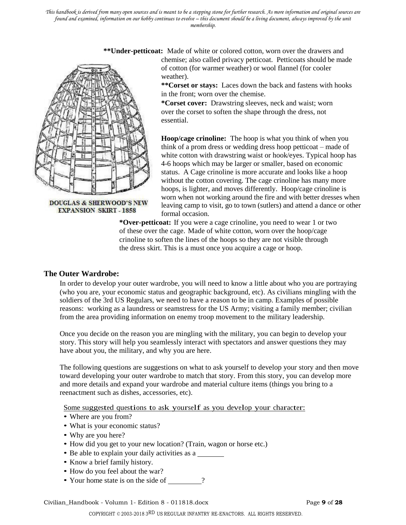**\*\*Under-petticoat:** Made of white or colored cotton, worn over the drawers and



**DOUGLAS & SHERWOOD'S NEW EXPANSION SKIRT - 1858** 

chemise; also called privacy petticoat. Petticoats should be made of cotton (for warmer weather) or wool flannel (for cooler weather).

**\*\*Corset or stays:** Laces down the back and fastens with hooks in the front; worn over the chemise.

**\*Corset cover:** Drawstring sleeves, neck and waist; worn over the corset to soften the shape through the dress, not essential.

**Hoop/cage crinoline:** The hoop is what you think of when you think of a prom dress or wedding dress hoop petticoat – made of white cotton with drawstring waist or hook/eyes. Typical hoop has 4-6 hoops which may be larger or smaller, based on economic status. A Cage crinoline is more accurate and looks like a hoop without the cotton covering. The cage crinoline has many more hoops, is lighter, and moves differently. Hoop/cage crinoline is worn when not working around the fire and with better dresses when leaving camp to visit, go to town (sutlers) and attend a dance or other formal occasion.

**\*Over-petticoat:** If you were a cage crinoline, you need to wear 1 or two of these over the cage. Made of white cotton, worn over the hoop/cage crinoline to soften the lines of the hoops so they are not visible through the dress skirt. This is a must once you acquire a cage or hoop.

#### <span id="page-8-0"></span>**The Outer Wardrobe:**

In order to develop your outer wardrobe, you will need to know a little about who you are portraying (who you are, your economic status and geographic background, etc). As civilians mingling with the soldiers of the 3rd US Regulars, we need to have a reason to be in camp. Examples of possible reasons: working as a laundress or seamstress for the US Army; visiting a family member; civilian from the area providing information on enemy troop movement to the military leadership.

Once you decide on the reason you are mingling with the military, you can begin to develop your story. This story will help you seamlessly interact with spectators and answer questions they may have about you, the military, and why you are here.

The following questions are suggestions on what to ask yourself to develop your story and then move toward developing your outer wardrobe to match that story. From this story, you can develop more and more details and expand your wardrobe and material culture items (things you bring to a reenactment such as dishes, accessories, etc).

Some suggested questions to ask yourself as you develop your character:

- Where are you from?
- What is your economic status?
- Why are you here?
- How did you get to your new location? (Train, wagon or horse etc.)
- Be able to explain your daily activities as a
- Know a brief family history.
- How do you feel about the war?
- Your home state is on the side of \_\_\_\_\_\_\_\_ ?

Civilian\_Handbook - Volumn 1- Edition 8 - 011818.docx Page **9** of **28**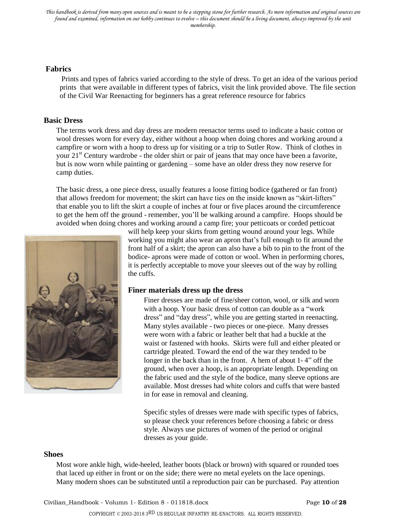#### <span id="page-9-0"></span>**Fabrics**

Prints and types of fabrics varied according to the style of dress. To get an idea of the various period prints that were available in different types of fabrics, visit the link provided above. The file section of the Civil War Reenacting for beginners has a great reference resource for fabrics

#### <span id="page-9-1"></span>**Basic Dress**

The terms work dress and day dress are modern reenactor terms used to indicate a basic cotton or wool dresses worn for every day, either without a hoop when doing chores and working around a campfire or worn with a hoop to dress up for visiting or a trip to Sutler Row. Think of clothes in your 21<sup>st</sup> Century wardrobe - the older shirt or pair of jeans that may once have been a favorite, but is now worn while painting or gardening – some have an older dress they now reserve for camp duties.

The basic dress, a one piece dress, usually features a loose fitting bodice (gathered or fan front) that allows freedom for movement; the skirt can have ties on the inside known as "skirt-lifters" that enable you to lift the skirt a couple of inches at four or five places around the circumference to get the hem off the ground - remember, you'll be walking around a campfire. Hoops should be avoided when doing chores and working around a camp fire; your petticoats or corded petticoat



will help keep your skirts from getting wound around your legs. While working you might also wear an apron that's full enough to fit around the front half of a skirt; the apron can also have a bib to pin to the front of the bodice- aprons were made of cotton or wool. When in performing chores, it is perfectly acceptable to move your sleeves out of the way by rolling the cuffs.

#### <span id="page-9-2"></span>**Finer materials dress up the dress**

Finer dresses are made of fine/sheer cotton, wool, or silk and worn with a hoop. Your basic dress of cotton can double as a "work dress" and "day dress", while you are getting started in reenacting. Many styles available - two pieces or one-piece. Many dresses were worn with a fabric or leather belt that had a buckle at the waist or fastened with hooks. Skirts were full and either pleated or cartridge pleated. Toward the end of the war they tended to be longer in the back than in the front. A hem of about 1- 4" off the ground, when over a hoop, is an appropriate length. Depending on the fabric used and the style of the bodice, many sleeve options are available. Most dresses had white colors and cuffs that were basted in for ease in removal and cleaning.

Specific styles of dresses were made with specific types of fabrics, so please check your references before choosing a fabric or dress style. Always use pictures of women of the period or original dresses as your guide.

#### <span id="page-9-3"></span>**Shoes**

Most wore ankle high, wide-heeled, leather boots (black or brown) with squared or rounded toes that laced up either in front or on the side; there were no metal eyelets on the lace openings. Many modern shoes can be substituted until a reproduction pair can be purchased. Pay attention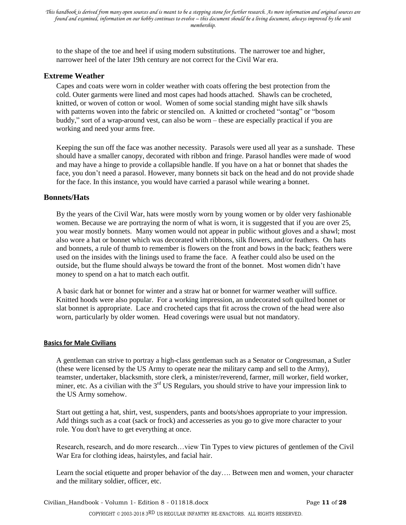to the shape of the toe and heel if using modern substitutions. The narrower toe and higher, narrower heel of the later 19th century are not correct for the Civil War era.

#### **Extreme Weather**

Capes and coats were worn in colder weather with coats offering the best protection from the cold. Outer garments were lined and most capes had hoods attached. Shawls can be crocheted, knitted, or woven of cotton or wool. Women of some social standing might have silk shawls with patterns woven into the fabric or stenciled on. A knitted or crocheted "sontag" or "bosom buddy," sort of a wrap-around vest, can also be worn – these are especially practical if you are working and need your arms free.

Keeping the sun off the face was another necessity. Parasols were used all year as a sunshade. These should have a smaller canopy, decorated with ribbon and fringe. Parasol handles were made of wood and may have a hinge to provide a collapsible handle. If you have on a hat or bonnet that shades the face, you don't need a parasol. However, many bonnets sit back on the head and do not provide shade for the face. In this instance, you would have carried a parasol while wearing a bonnet.

#### <span id="page-10-0"></span>**Bonnets/Hats**

By the years of the Civil War, hats were mostly worn by young women or by older very fashionable women. Because we are portraying the norm of what is worn, it is suggested that if you are over 25, you wear mostly bonnets. Many women would not appear in public without gloves and a shawl; most also wore a hat or bonnet which was decorated with ribbons, silk flowers, and/or feathers. On hats and bonnets, a rule of thumb to remember is flowers on the front and bows in the back; feathers were used on the insides with the linings used to frame the face. A feather could also be used on the outside, but the flume should always be toward the front of the bonnet. Most women didn't have money to spend on a hat to match each outfit.

A basic dark hat or bonnet for winter and a straw hat or bonnet for warmer weather will suffice. Knitted hoods were also popular. For a working impression, an undecorated soft quilted bonnet or slat bonnet is appropriate. Lace and crocheted caps that fit across the crown of the head were also worn, particularly by older women. Head coverings were usual but not mandatory.

#### **Basics for Male Civilians**

A gentleman can strive to portray a high-class gentleman such as a Senator or Congressman, a Sutler (these were licensed by the US Army to operate near the military camp and sell to the Army), teamster, undertaker, blacksmith, store clerk, a minister/reverend, farmer, mill worker, field worker, miner, etc. As a civilian with the  $3<sup>rd</sup>$  US Regulars, you should strive to have your impression link to the US Army somehow.

Start out getting a hat, shirt, vest, suspenders, pants and boots/shoes appropriate to your impression. Add things such as a coat (sack or frock) and accesseries as you go to give more character to your role. You don't have to get everything at once.

Research, research, and do more research…view Tin Types to view pictures of gentlemen of the Civil War Era for clothing ideas, hairstyles, and facial hair.

Learn the social etiquette and proper behavior of the day…. Between men and women, your character and the military soldier, officer, etc.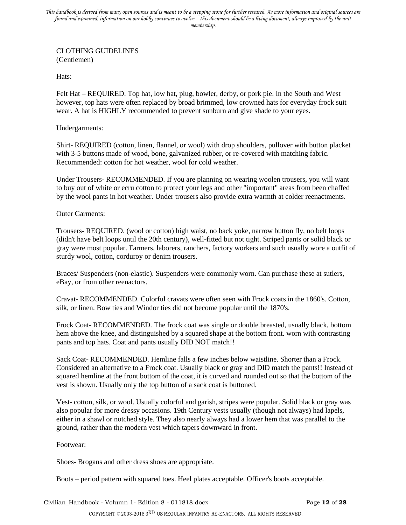#### CLOTHING GUIDELINES (Gentlemen)

Hats:

Felt Hat – REQUIRED. Top hat, low hat, plug, bowler, derby, or pork pie. In the South and West however, top hats were often replaced by broad brimmed, low crowned hats for everyday frock suit wear. A hat is HIGHLY recommended to prevent sunburn and give shade to your eyes.

#### Undergarments:

Shirt- REQUIRED (cotton, linen, flannel, or wool) with drop shoulders, pullover with button placket with 3-5 buttons made of wood, bone, galvanized rubber, or re-covered with matching fabric. Recommended: cotton for hot weather, wool for cold weather.

Under Trousers- RECOMMENDED. If you are planning on wearing woolen trousers, you will want to buy out of white or ecru cotton to protect your legs and other "important" areas from been chaffed by the wool pants in hot weather. Under trousers also provide extra warmth at colder reenactments.

#### Outer Garments:

Trousers- REQUIRED. (wool or cotton) high waist, no back yoke, narrow button fly, no belt loops (didn't have belt loops until the 20th century), well-fitted but not tight. Striped pants or solid black or gray were most popular. Farmers, laborers, ranchers, factory workers and such usually wore a outfit of sturdy wool, cotton, corduroy or denim trousers.

Braces/ Suspenders (non-elastic). Suspenders were commonly worn. Can purchase these at sutlers, eBay, or from other reenactors.

Cravat- RECOMMENDED. Colorful cravats were often seen with Frock coats in the 1860's. Cotton, silk, or linen. Bow ties and Windor ties did not become popular until the 1870's.

Frock Coat- RECOMMENDED. The frock coat was single or double breasted, usually black, bottom hem above the knee, and distinguished by a squared shape at the bottom front. worn with contrasting pants and top hats. Coat and pants usually DID NOT match!!

Sack Coat- RECOMMENDED. Hemline falls a few inches below waistline. Shorter than a Frock. Considered an alternative to a Frock coat. Usually black or gray and DID match the pants!! Instead of squared hemline at the front bottom of the coat, it is curved and rounded out so that the bottom of the vest is shown. Usually only the top button of a sack coat is buttoned.

Vest- cotton, silk, or wool. Usually colorful and garish, stripes were popular. Solid black or gray was also popular for more dressy occasions. 19th Century vests usually (though not always) had lapels, either in a shawl or notched style. They also nearly always had a lower hem that was parallel to the ground, rather than the modern vest which tapers downward in front.

#### Footwear:

Shoes- Brogans and other dress shoes are appropriate.

Boots – period pattern with squared toes. Heel plates acceptable. Officer's boots acceptable.

Civilian\_Handbook - Volumn 1- Edition 8 - 011818.docx Page **12** of **28**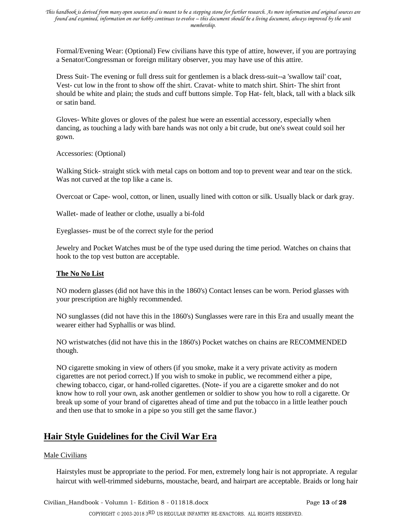Formal/Evening Wear: (Optional) Few civilians have this type of attire, however, if you are portraying a Senator/Congressman or foreign military observer, you may have use of this attire.

Dress Suit- The evening or full dress suit for gentlemen is a black dress-suit--a 'swallow tail' coat, Vest- cut low in the front to show off the shirt. Cravat- white to match shirt. Shirt- The shirt front should be white and plain; the studs and cuff buttons simple. Top Hat- felt, black, tall with a black silk or satin band.

Gloves- White gloves or gloves of the palest hue were an essential accessory, especially when dancing, as touching a lady with bare hands was not only a bit crude, but one's sweat could soil her gown.

Accessories: (Optional)

Walking Stick- straight stick with metal caps on bottom and top to prevent wear and tear on the stick. Was not curved at the top like a cane is.

Overcoat or Cape- wool, cotton, or linen, usually lined with cotton or silk. Usually black or dark gray.

Wallet- made of leather or clothe, usually a bi-fold

Eyeglasses- must be of the correct style for the period

Jewelry and Pocket Watches must be of the type used during the time period. Watches on chains that hook to the top vest button are acceptable.

#### **The No No List**

NO modern glasses (did not have this in the 1860's) Contact lenses can be worn. Period glasses with your prescription are highly recommended.

NO sunglasses (did not have this in the 1860's) Sunglasses were rare in this Era and usually meant the wearer either had Syphallis or was blind.

NO wristwatches (did not have this in the 1860's) Pocket watches on chains are RECOMMENDED though.

NO cigarette smoking in view of others (if you smoke, make it a very private activity as modern cigarettes are not period correct.) If you wish to smoke in public, we recommend either a pipe, chewing tobacco, cigar, or hand-rolled cigarettes. (Note- if you are a cigarette smoker and do not know how to roll your own, ask another gentlemen or soldier to show you how to roll a cigarette. Or break up some of your brand of cigarettes ahead of time and put the tobacco in a little leather pouch and then use that to smoke in a pipe so you still get the same flavor.)

## <span id="page-12-0"></span>**Hair Style Guidelines for the Civil War Era**

#### Male Civilians

Hairstyles must be appropriate to the period. For men, extremely long hair is not appropriate. A regular haircut with well-trimmed sideburns, moustache, beard, and hairpart are acceptable. Braids or long hair

COPYRIGHT © 2003-2018 3RD US REGULAR INFANTRY RE-ENACTORS. ALL RIGHTS RESERVED.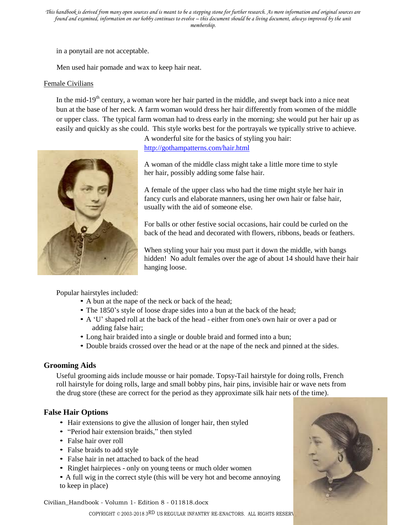in a ponytail are not acceptable.

Men used hair pomade and wax to keep hair neat.

#### Female Civilians

In the mid-19<sup>th</sup> century, a woman wore her hair parted in the middle, and swept back into a nice neat bun at the base of her neck. A farm woman would dress her hair differently from women of the middle or upper class. The typical farm woman had to dress early in the morning; she would put her hair up as easily and quickly as she could. This style works best for the portrayals we typically strive to achieve.



A wonderful site for the basics of styling you hair: <http://gothampatterns.com/hair.html>

A woman of the middle class might take a little more time to style her hair, possibly adding some false hair.

A female of the upper class who had the time might style her hair in fancy curls and elaborate manners, using her own hair or false hair, usually with the aid of someone else.

For balls or other festive social occasions, hair could be curled on the back of the head and decorated with flowers, ribbons, beads or feathers.

When styling your hair you must part it down the middle, with bangs hidden! No adult females over the age of about 14 should have their hair hanging loose.

Popular hairstyles included:

- A bun at the nape of the neck or back of the head;
- The 1850's style of loose drape sides into a bun at the back of the head;
- A 'U' shaped roll at the back of the head either from one's own hair or over a pad or adding false hair;
- Long hair braided into a single or double braid and formed into a bun;
- Double braids crossed over the head or at the nape of the neck and pinned at the sides.

#### <span id="page-13-0"></span>**Grooming Aids**

Useful grooming aids include mousse or hair pomade. Topsy-Tail hairstyle for doing rolls, French roll hairstyle for doing rolls, large and small bobby pins, hair pins, invisible hair or wave nets from the drug store (these are correct for the period as they approximate silk hair nets of the time).

#### <span id="page-13-1"></span>**False Hair Options**

- Hair extensions to give the allusion of longer hair, then styled
- "Period hair extension braids," then styled
- False hair over roll
- False braids to add style
- False hair in net attached to back of the head
- Ringlet hairpieces only on young teens or much older women
- A full wig in the correct style (this will be very hot and become annoying to keep in place)

Civilian\_Handbook - Volumn 1- Edition 8 - 011818.docx

COPYRIGHT  $\odot$  2003-2018 3<sup>RD</sup> US REGULAR INFANTRY RE-ENACTORS. ALL RIGHTS RESERV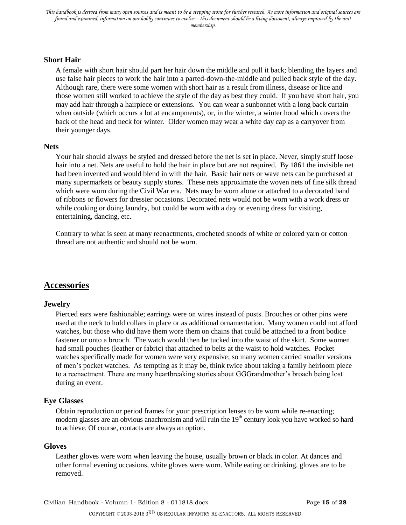#### <span id="page-14-0"></span>**Short Hair**

A female with short hair should part her hair down the middle and pull it back; blending the layers and use false hair pieces to work the hair into a parted-down-the-middle and pulled back style of the day. Although rare, there were some women with short hair as a result from illness, disease or lice and those women still worked to achieve the style of the day as best they could. If you have short hair, you may add hair through a hairpiece or extensions. You can wear a sunbonnet with a long back curtain when outside (which occurs a lot at encampments), or, in the winter, a winter hood which covers the back of the head and neck for winter. Older women may wear a white day cap as a carryover from their younger days.

#### <span id="page-14-1"></span>**Nets**

Your hair should always be styled and dressed before the net is set in place. Never, simply stuff loose hair into a net. Nets are useful to hold the hair in place but are not required. By 1861 the invisible net had been invented and would blend in with the hair. Basic hair nets or wave nets can be purchased at many supermarkets or beauty supply stores. These nets approximate the woven nets of fine silk thread which were worn during the Civil War era. Nets may be worn alone or attached to a decorated band of ribbons or flowers for dressier occasions. Decorated nets would not be worn with a work dress or while cooking or doing laundry, but could be worn with a day or evening dress for visiting, entertaining, dancing, etc.

Contrary to what is seen at many reenactments, crocheted snoods of white or colored yarn or cotton thread are not authentic and should not be worn.

## <span id="page-14-2"></span>**Accessories**

#### <span id="page-14-3"></span>**Jewelry**

Pierced ears were fashionable; earrings were on wires instead of posts. Brooches or other pins were used at the neck to hold collars in place or as additional ornamentation. Many women could not afford watches, but those who did have them wore them on chains that could be attached to a front bodice fastener or onto a brooch. The watch would then be tucked into the waist of the skirt. Some women had small pouches (leather or fabric) that attached to belts at the waist to hold watches. Pocket watches specifically made for women were very expensive; so many women carried smaller versions of men's pocket watches. As tempting as it may be, think twice about taking a family heirloom piece to a reenactment. There are many heartbreaking stories about GGGrandmother's broach being lost during an event.

#### <span id="page-14-4"></span>**Eye Glasses**

Obtain reproduction or period frames for your prescription lenses to be worn while re-enacting; modern glasses are an obvious anachronism and will ruin the 19<sup>th</sup> century look you have worked so hard to achieve. Of course, contacts are always an option.

#### <span id="page-14-5"></span>**Gloves**

Leather gloves were worn when leaving the house, usually brown or black in color. At dances and other formal evening occasions, white gloves were worn. While eating or drinking, gloves are to be removed.

Civilian\_Handbook - Volumn 1- Edition 8 - 011818.docx Page **15** of **28**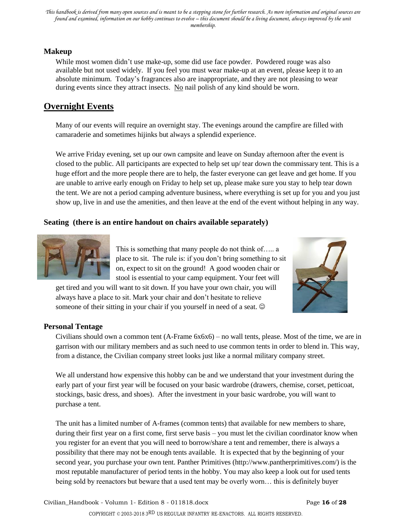#### <span id="page-15-0"></span>**Makeup**

While most women didn't use make-up, some did use face powder. Powdered rouge was also available but not used widely. If you feel you must wear make-up at an event, please keep it to an absolute minimum. Today's fragrances also are inappropriate, and they are not pleasing to wear during events since they attract insects.  $\underline{No}$  nail polish of any kind should be worn.

## <span id="page-15-1"></span>**Overnight Events**

Many of our events will require an overnight stay. The evenings around the campfire are filled with camaraderie and sometimes hijinks but always a splendid experience.

We arrive Friday evening, set up our own campsite and leave on Sunday afternoon after the event is closed to the public. All participants are expected to help set up/ tear down the commissary tent. This is a huge effort and the more people there are to help, the faster everyone can get leave and get home. If you are unable to arrive early enough on Friday to help set up, please make sure you stay to help tear down the tent. We are not a period camping adventure business, where everything is set up for you and you just show up, live in and use the amenities, and then leave at the end of the event without helping in any way.

#### <span id="page-15-2"></span>**Seating (there is an entire handout on chairs available separately)**



This is something that many people do not think of….. a place to sit. The rule is: if you don't bring something to sit on, expect to sit on the ground! A good wooden chair or stool is essential to your camp equipment. Your feet will

get tired and you will want to sit down. If you have your own chair, you will always have a place to sit. Mark your chair and don't hesitate to relieve someone of their sitting in your chair if you yourself in need of a seat.  $\odot$ 



#### <span id="page-15-3"></span>**Personal Tentage**

Civilians should own a common tent (A-Frame 6x6x6) – no wall tents, please. Most of the time, we are in garrison with our military members and as such need to use common tents in order to blend in. This way, from a distance, the Civilian company street looks just like a normal military company street.

We all understand how expensive this hobby can be and we understand that your investment during the early part of your first year will be focused on your basic wardrobe (drawers, chemise, corset, petticoat, stockings, basic dress, and shoes). After the investment in your basic wardrobe, you will want to purchase a tent.

The unit has a limited number of A-frames (common tents) that available for new members to share, during their first year on a first come, first serve basis – you must let the civilian coordinator know when you register for an event that you will need to borrow/share a tent and remember, there is always a possibility that there may not be enough tents available. It is expected that by the beginning of your second year, you purchase your own tent. Panther Primitives [\(http://www.pantherprimitives.com/\)](http://www.pantherprimitives.com/) is the most reputable manufacturer of period tents in the hobby. You may also keep a look out for used tents being sold by reenactors but beware that a used tent may be overly worn… this is definitely buyer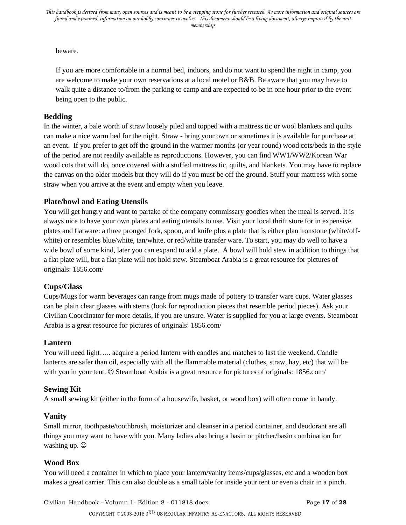beware.

If you are more comfortable in a normal bed, indoors, and do not want to spend the night in camp, you are welcome to make your own reservations at a local motel or B&B. Be aware that you may have to walk quite a distance to/from the parking to camp and are expected to be in one hour prior to the event being open to the public.

#### <span id="page-16-0"></span>**Bedding**

In the winter, a bale worth of straw loosely piled and topped with a mattress tic or wool blankets and quilts can make a nice warm bed for the night. Straw - bring your own or sometimes it is available for purchase at an event. If you prefer to get off the ground in the warmer months (or year round) wood cots/beds in the style of the period are not readily available as reproductions. However, you can find WW1/WW2/Korean War wood cots that will do, once covered with a stuffed mattress tic, quilts, and blankets. You may have to replace the canvas on the older models but they will do if you must be off the ground. Stuff your mattress with some straw when you arrive at the event and empty when you leave.

#### <span id="page-16-1"></span>**Plate/bowl and Eating Utensils**

You will get hungry and want to partake of the company commissary goodies when the meal is served. It is always nice to have your own plates and eating utensils to use. Visit your local thrift store for in expensive plates and flatware: a three pronged fork, spoon, and knife plus a plate that is either plan ironstone (white/offwhite) or resembles blue/white, tan/white, or red/white transfer ware. To start, you may do well to have a wide bowl of some kind, later you can expand to add a plate. A bowl will hold stew in addition to things that a flat plate will, but a flat plate will not hold stew. Steamboat Arabia is a great resource for pictures of originals: 1856.com/

#### <span id="page-16-2"></span>**Cups/Glass**

Cups/Mugs for warm beverages can range from mugs made of pottery to transfer ware cups. Water glasses can be plain clear glasses with stems (look for reproduction pieces that resemble period pieces). Ask your Civilian Coordinator for more details, if you are unsure. Water is supplied for you at large events. Steamboat Arabia is a great resource for pictures of originals: 1856.com/

#### <span id="page-16-3"></span>**Lantern**

You will need light….. acquire a period lantern with candles and matches to last the weekend. Candle lanterns are safer than oil, especially with all the flammable material (clothes, straw, hay, etc) that will be with you in your tent.  $\odot$  Steamboat Arabia is a great resource for pictures of originals: 1856.com/

#### <span id="page-16-4"></span>**Sewing Kit**

A small sewing kit (either in the form of a housewife, basket, or wood box) will often come in handy.

#### <span id="page-16-5"></span>**Vanity**

Small mirror, toothpaste/toothbrush, moisturizer and cleanser in a period container, and deodorant are all things you may want to have with you. Many ladies also bring a basin or pitcher/basin combination for washing up.  $\odot$ 

#### <span id="page-16-6"></span>**Wood Box**

You will need a container in which to place your lantern/vanity items/cups/glasses, etc and a wooden box makes a great carrier. This can also double as a small table for inside your tent or even a chair in a pinch.

Civilian\_Handbook - Volumn 1- Edition 8 - 011818.docx Page **17** of **28**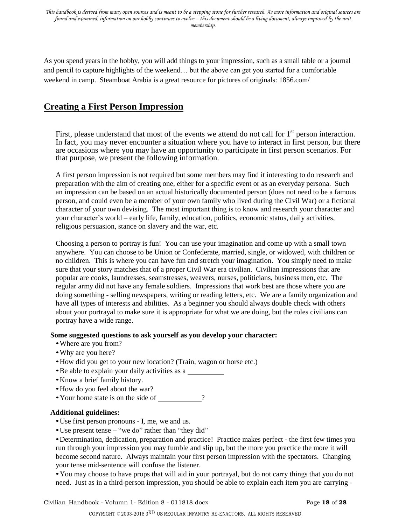As you spend years in the hobby, you will add things to your impression, such as a small table or a journal and pencil to capture highlights of the weekend… but the above can get you started for a comfortable weekend in camp. Steamboat Arabia is a great resource for pictures of originals: 1856.com/

## <span id="page-17-0"></span>**Creating a First Person Impression**

First, please understand that most of the events we attend do not call for  $1<sup>st</sup>$  person interaction. In fact, you may never encounter a situation where you have to interact in first person, but there are occasions where you may have an opportunity to participate in first person scenarios. For that purpose, we present the following information.

A first person impression is not required but some members may find it interesting to do research and preparation with the aim of creating one, either for a specific event or as an everyday persona. Such an impression can be based on an actual historically documented person (does not need to be a famous person, and could even be a member of your own family who lived during the Civil War) or a fictional character of your own devising. The most important thing is to know and research your character and your character's world – early life, family, education, politics, economic status, daily activities, religious persuasion, stance on slavery and the war, etc.

Choosing a person to portray is fun! You can use your imagination and come up with a small town anywhere. You can choose to be Union or Confederate, married, single, or widowed, with children or no children. This is where you can have fun and stretch your imagination. You simply need to make sure that your story matches that of a proper Civil War era civilian. Civilian impressions that are popular are cooks, laundresses, seamstresses, weavers, nurses, politicians, business men, etc. The regular army did not have any female soldiers. Impressions that work best are those where you are doing something - selling newspapers, writing or reading letters, etc. We are a family organization and have all types of interests and abilities. As a beginner you should always double check with others about your portrayal to make sure it is appropriate for what we are doing, but the roles civilians can portray have a wide range.

#### **Some suggested questions to ask yourself as you develop your character:**

- •Where are you from?
- •Why are you here?
- •How did you get to your new location? (Train, wagon or horse etc.)
- •Be able to explain your daily activities as a
- •Know a brief family history.
- How do you feel about the war?
- Your home state is on the side of \_\_\_\_\_\_\_\_\_?

#### **Additional guidelines:**

- •Use first person pronouns I, me, we and us.
- •Use present tense "we do" rather than "they did"

•Determination, dedication, preparation and practice! Practice makes perfect - the first few times you run through your impression you may fumble and slip up, but the more you practice the more it will become second nature. Always maintain your first person impression with the spectators. Changing your tense mid-sentence will confuse the listener.

•You may choose to have props that will aid in your portrayal, but do not carry things that you do not need. Just as in a third-person impression, you should be able to explain each item you are carrying -

COPYRIGHT © 2003-2018 3RD US REGULAR INFANTRY RE-ENACTORS. ALL RIGHTS RESERVED.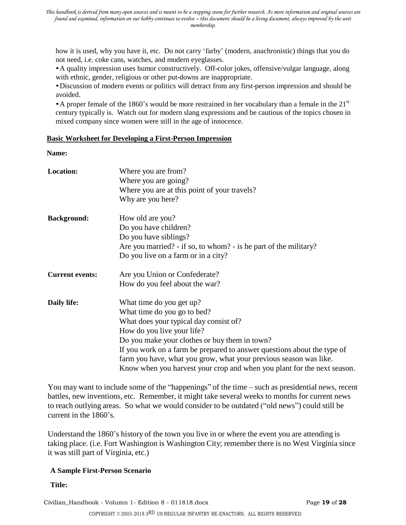how it is used, why you have it, etc. Do not carry 'farby' (modern, anachronistic) things that you do not need, i.e. coke cans, watches, and modern eyeglasses.

•A quality impression uses humor constructively. Off-color jokes, offensive/vulgar language, along with ethnic, gender, religious or other put-downs are inappropriate.

•Discussion of modern events or politics will detract from any first-person impression and should be avoided.

• A proper female of the 1860's would be more restrained in her vocabulary than a female in the  $21^{st}$ century typically is. Watch out for modern slang expressions and be cautious of the topics chosen in mixed company since women were still in the age of innocence.

#### **Basic Worksheet for Developing a First-Person Impression**

**Name:**

| <b>Location:</b>       | Where you are from?<br>Where you are going?<br>Where you are at this point of your travels?<br>Why are you here?                                                                                                                                                                                                                                                                                            |
|------------------------|-------------------------------------------------------------------------------------------------------------------------------------------------------------------------------------------------------------------------------------------------------------------------------------------------------------------------------------------------------------------------------------------------------------|
| <b>Background:</b>     | How old are you?<br>Do you have children?<br>Do you have siblings?<br>Are you married? - if so, to whom? - is he part of the military?<br>Do you live on a farm or in a city?                                                                                                                                                                                                                               |
| <b>Current events:</b> | Are you Union or Confederate?<br>How do you feel about the war?                                                                                                                                                                                                                                                                                                                                             |
| Daily life:            | What time do you get up?<br>What time do you go to bed?<br>What does your typical day consist of?<br>How do you live your life?<br>Do you make your clothes or buy them in town?<br>If you work on a farm be prepared to answer questions about the type of<br>farm you have, what you grow, what your previous season was like.<br>Know when you harvest your crop and when you plant for the next season. |

You may want to include some of the "happenings" of the time – such as presidential news, recent battles, new inventions, etc. Remember, it might take several weeks to months for current news to reach outlying areas. So what we would consider to be outdated ("old news") could still be current in the 1860's.

Understand the 1860's history of the town you live in or where the event you are attending is taking place. (i.e. Fort Washington is Washington City; remember there is no West Virginia since it was still part of Virginia, etc.)

#### **A Sample First-Person Scenario**

**Title:**

Civilian\_Handbook - Volumn 1- Edition 8 - 011818.docx Page **19** of **28**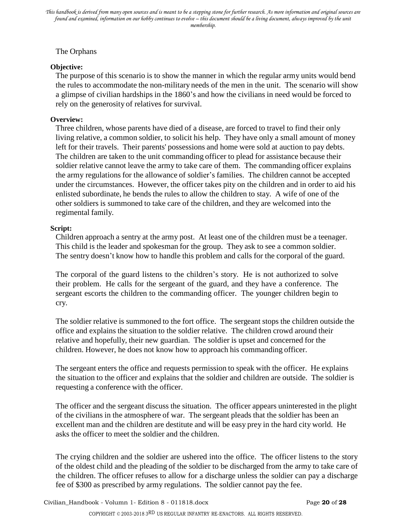#### The Orphans

#### **Objective:**

The purpose of this scenario is to show the manner in which the regular army units would bend the rules to accommodate the non-military needs of the men in the unit. The scenario will show a glimpse of civilian hardships in the 1860's and how the civilians in need would be forced to rely on the generosity of relatives for survival.

#### **Overview:**

Three children, whose parents have died of a disease, are forced to travel to find their only living relative, a common soldier, to solicit his help. They have only a small amount of money left for their travels. Their parents' possessions and home were sold at auction to pay debts. The children are taken to the unit commanding officer to plead for assistance because their soldier relative cannot leave the army to take care of them. The commanding officer explains the army regulations for the allowance of soldier's families. The children cannot be accepted under the circumstances. However, the officer takes pity on the children and in order to aid his enlisted subordinate, he bends the rules to allow the children to stay. A wife of one of the other soldiers is summoned to take care of the children, and they are welcomed into the regimental family.

#### **Script:**

Children approach a sentry at the army post. At least one of the children must be a teenager. This child is the leader and spokesman for the group. They ask to see a common soldier. The sentry doesn't know how to handle this problem and calls for the corporal of the guard.

The corporal of the guard listens to the children's story. He is not authorized to solve their problem. He calls for the sergeant of the guard, and they have a conference. The sergeant escorts the children to the commanding officer. The younger children begin to cry.

The soldier relative is summoned to the fort office. The sergeant stops the children outside the office and explains the situation to the soldier relative. The children crowd around their relative and hopefully, their new guardian. The soldier is upset and concerned for the children. However, he does not know how to approach his commanding officer.

The sergeant enters the office and requests permission to speak with the officer. He explains the situation to the officer and explains that the soldier and children are outside. The soldier is requesting a conference with the officer.

The officer and the sergeant discuss the situation. The officer appears uninterested in the plight of the civilians in the atmosphere of war. The sergeant pleads that the soldier has been an excellent man and the children are destitute and will be easy prey in the hard city world. He asks the officer to meet the soldier and the children.

The crying children and the soldier are ushered into the office. The officer listens to the story of the oldest child and the pleading of the soldier to be discharged from the army to take care of the children. The officer refuses to allow for a discharge unless the soldier can pay a discharge fee of \$300 as prescribed by army regulations. The soldier cannot pay the fee.

COPYRIGHT © 2003-2018 3RD US REGULAR INFANTRY RE-ENACTORS. ALL RIGHTS RESERVED.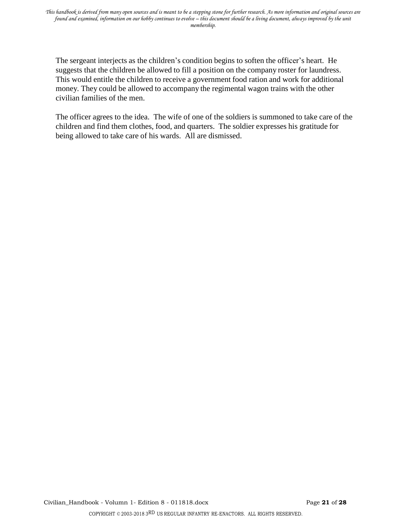The sergeant interjects as the children's condition begins to soften the officer's heart. He suggests that the children be allowed to fill a position on the company roster for laundress. This would entitle the children to receive a government food ration and work for additional money. They could be allowed to accompany the regimental wagon trains with the other civilian families of the men.

The officer agrees to the idea. The wife of one of the soldiers is summoned to take care of the children and find them clothes, food, and quarters. The soldier expresses his gratitude for being allowed to take care of his wards. All are dismissed.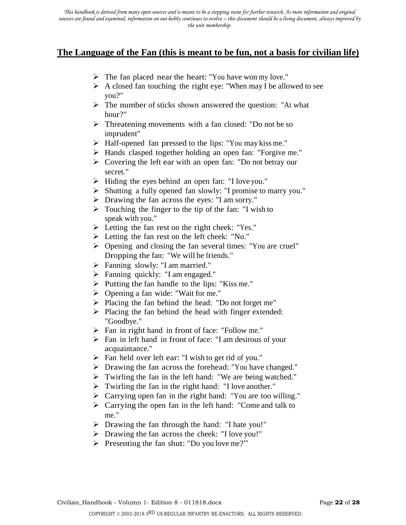## <span id="page-21-0"></span>**The Language of the Fan (this is meant to be fun, not a basis for civilian life)**

- $\triangleright$  The fan placed near the heart: "You have won my love."
- $\triangleright$  A closed fan touching the right eye: "When may I be allowed to see you?"
- $\triangleright$  The number of sticks shown answered the question: "At what hour?"
- Threatening movements with a fan closed: "Do not be so imprudent"
- Half-opened fan pressed to the lips: "You may kiss me."
- Hands clasped together holding an open fan: "Forgive me."
- Sovering the left ear with an open fan: "Do not betray our secret."
- $\triangleright$  Hiding the eyes behind an open fan: "I love you."
- Shutting a fully opened fan slowly: "I promise to marry you."
- Drawing the fan across the eyes: "I am sorry."
- $\triangleright$  Touching the finger to the tip of the fan: "I wish to speak with you."
- Letting the fan rest on the right cheek: "Yes."
- Etting the fan rest on the left cheek: "No."
- Opening and closing the fan several times: "You are cruel" Dropping the fan: "We will be friends."
- > Fanning slowly: "I am married."
- > Fanning quickly: "I am engaged."
- $\triangleright$  Putting the fan handle to the lips: "Kiss me."
- Opening a fan wide: "Wait for me."
- $\triangleright$  Placing the fan behind the head: "Do not forget me"
- $\triangleright$  Placing the fan behind the head with finger extended: "Goodbye."
- > Fan in right hand in front of face: "Follow me."
- $\triangleright$  Fan in left hand in front of face: "I am desirous of your acquaintance."
- Fan held over left ear: "I wish to get rid of you."
- Drawing the fan across the forehead: "You have changed."
- Twirling the fan in the left hand: "We are being watched."
- Twirling the fan in the right hand: "I love another."
- Carrying open fan in the right hand: "You are too willing."
- $\triangleright$  Carrying the open fan in the left hand: "Come and talk to me."
- Drawing the fan through the hand: "I hate you!"
- Drawing the fan across the cheek: "I love you!"
- $\triangleright$  Presenting the fan shut: "Do you love me?"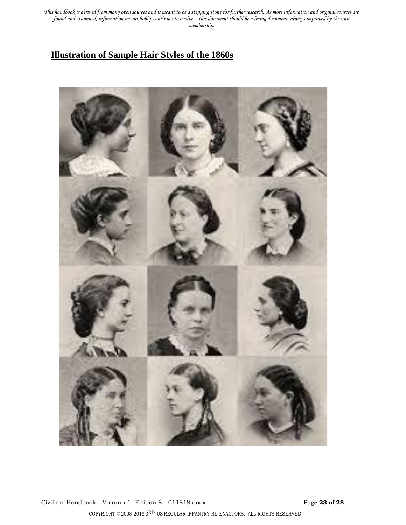## **Illustration of Sample Hair Styles of the 1860s**



Civilian\_Handbook - Volumn 1- Edition 8 - 011818.docx Page **23** of **28**

<code>COPYRIGHT</code> © 2003-2018 3<code>RD</code> US REGULAR INFANTRY RE-ENACTORS. ALL RIGHTS RESERVED.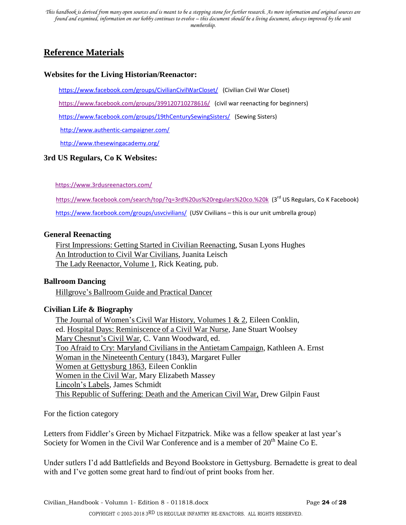## <span id="page-23-0"></span>**Reference Materials**

#### <span id="page-23-1"></span>**Websites for the Living Historian/Reenactor:**

<https://www.facebook.com/groups/CivilianCivilWarCloset/>(Civilian Civil War Closet)

<https://www.facebook.com/groups/399120710278616/>(civil war reenacting for beginners)

<https://www.facebook.com/groups/19thCenturySewingSisters/>(Sewing Sisters)

<http://www.authentic-campaigner.com/>

<http://www.thesewingacademy.org/>

#### <span id="page-23-2"></span>**3rd US Regulars, Co K Websites:**

<https://www.3rdusreenactors.com/>

<https://www.facebook.com/search/top/?q=3rd%20us%20regulars%20co.%20k>(3rd US Regulars, Co K Facebook) <u>https://www.facebook.com/groups/usvcivilians/</u> (USV Civilians – this is our unit umbrella group)

#### <span id="page-23-3"></span>**General Reenacting**

First Impressions: Getting Started in Civilian Reenacting, Susan Lyons Hughes An Introduction to Civil War Civilians, Juanita Leisch The Lady Reenactor, Volume 1, Rick Keating, pub.

#### <span id="page-23-4"></span>**Ballroom Dancing**

Hillgrove's Ballroom Guide and Practical Dancer

## <span id="page-23-5"></span>**Civilian Life & Biography**

The Journal of Women's Civil War History, Volumes 1 & 2, Eileen Conklin, ed. Hospital Days: Reminiscence of a Civil War Nurse, Jane Stuart Woolsey Mary Chesnut's Civil War, C. Vann Woodward, ed. Too Afraid to Cry: Maryland Civilians in the Antietam Campaign, Kathleen A. Ernst Woman in the Nineteenth Century (1843), Margaret Fuller Women at Gettysburg 1863, Eileen Conklin Women in the Civil War, Mary Elizabeth Massey Lincoln's Labels, James Schmidt This Republic of Suffering: Death and the American Civil War, Drew Gilpin Faust

For the fiction category

Letters from Fiddler's Green by Michael Fitzpatrick. Mike was a fellow speaker at last year's Society for Women in the Civil War Conference and is a member of  $20<sup>th</sup>$  Maine Co E.

Under sutlers I'd add Battlefields and Beyond Bookstore in Gettysburg. Bernadette is great to deal with and I've gotten some great hard to find/out of print books from her.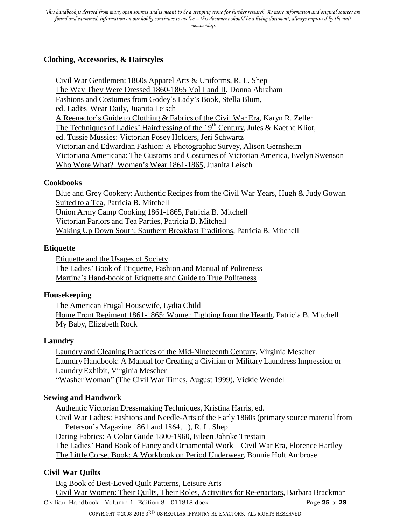#### <span id="page-24-0"></span>**Clothing, Accessories, & Hairstyles**

Civil War Gentlemen: 1860s Apparel Arts & Uniforms, R. L. Shep The Way They Were Dressed 1860-1865 Vol I and II, Donna Abraham Fashions and Costumes from Godey's Lady's Book, Stella Blum, ed. Ladies Wear Daily, Juanita Leisch A Reenactor's Guide to Clothing & Fabrics of the Civil War Era, Karyn R. Zeller The Techniques of Ladies' Hairdressing of the  $19<sup>th</sup>$  Century, Jules & Kaethe Kliot, ed. Tussie Mussies: Victorian Posey Holders, Jeri Schwartz Victorian and Edwardian Fashion: A Photographic Survey, Alison Gernsheim Victoriana Americana: The Customs and Costumes of Victorian America, Evelyn Swenson Who Wore What? Women's Wear 1861-1865, Juanita Leisch

#### <span id="page-24-1"></span>**Cookbooks**

Blue and Grey Cookery: Authentic Recipes from the Civil War Years, Hugh & Judy Gowan Suited to a Tea, Patricia B. Mitchell Union Army Camp Cooking 1861-1865, Patricia B. Mitchell Victorian Parlors and Tea Parties, Patricia B. Mitchell Waking Up Down South: Southern Breakfast Traditions, Patricia B. Mitchell

#### <span id="page-24-2"></span>**Etiquette**

Etiquette and the Usages of Society The Ladies' Book of Etiquette, Fashion and Manual of Politeness Martine's Hand-book of Etiquette and Guide to True Politeness

#### <span id="page-24-3"></span>**Housekeeping**

The American Frugal Housewife, Lydia Child Home Front Regiment 1861-1865: Women Fighting from the Hearth, Patricia B. Mitchell My Baby, Elizabeth Rock

#### <span id="page-24-4"></span>**Laundry**

Laundry and Cleaning Practices of the Mid-Nineteenth Century, Virginia Mescher Laundry Handbook: A Manual for Creating a Civilian or Military Laundress Impression or Laundry Exhibit, Virginia Mescher "Washer Woman" (The Civil War Times, August 1999), Vickie Wendel

## <span id="page-24-5"></span>**Sewing and Handwork**

Authentic Victorian Dressmaking Techniques, Kristina Harris, ed.

Civil War Ladies: Fashions and Needle-Arts of the Early 1860s (primary source material from Peterson's Magazine 1861 and 1864…), R. L. Shep

Dating Fabrics: A Color Guide 1800-1960, Eileen Jahnke Trestain

The Ladies' Hand Book of Fancy and Ornamental Work – Civil War Era, Florence Hartley The Little Corset Book: A Workbook on Period Underwear, Bonnie Holt Ambrose

## <span id="page-24-6"></span>**Civil War Quilts**

Big Book of Best-Loved Quilt Patterns, Leisure Arts

Civilian\_Handbook - Volumn 1- Edition 8 - 011818.docx Page **25** of **28** Civil War Women: Their Quilts, Their Roles, Activities for Re-enactors, Barbara Brackman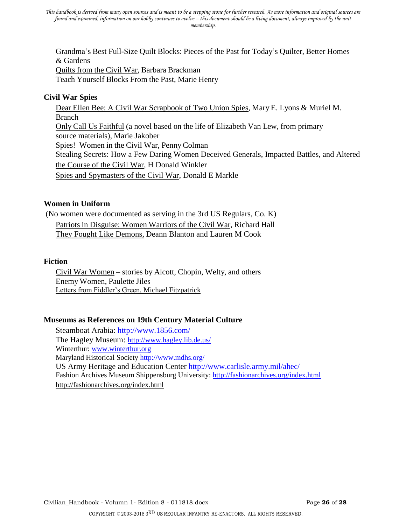Grandma's Best Full-Size Quilt Blocks: Pieces of the Past for Today's Quilter, Better Homes & Gardens Quilts from the Civil War, Barbara Brackman Teach Yourself Blocks From the Past, Marie Henry

#### <span id="page-25-0"></span>**Civil War Spies**

<span id="page-25-1"></span>Dear Ellen Bee: A Civil War Scrapbook of Two Union Spies, Mary E. Lyons & Muriel M. Branch Only Call Us Faithful (a novel based on the life of Elizabeth Van Lew, from primary source materials), Marie Jakober Spies! Women in the Civil War, Penny Colman Stealing Secrets: How a Few Daring Women Deceived Generals, Impacted Battles, and Altered the Course of the Civil War, H Donald Winkler Spies and Spymasters of the Civil War, Donald E Markle

#### <span id="page-25-3"></span><span id="page-25-2"></span>**Women in Uniform**

(No women were documented as serving in the 3rd US Regulars, Co. K) Patriots in Disguise: Women Warriors of the Civil War, Richard Hall They Fought Like Demons, Deann Blanton and Lauren M Cook

#### <span id="page-25-4"></span>**Fiction**

Civil War Women – stories by Alcott, Chopin, Welty, and others Enemy Women, Paulette Jiles Letters from Fiddler's Green, Michael Fitzpatrick

#### <span id="page-25-5"></span>**Museums as References on 19th Century Material Culture**

<span id="page-25-7"></span><span id="page-25-6"></span>Steamboat Arabia:<http://www.1856.com/> The Hagley Museum: <http://www.hagley.lib.de.us/> Winterthur: [www.winterthur.org](http://www.winterthur.org/) Maryland Historical Society <http://www.mdhs.org/> US Army Heritage and Education Center<http://www.carlisle.army.mil/ahec/> Fashion Archives Museum Shippensburg University: <http://fashionarchives.org/index.html> <http://fashionarchives.org/index.html>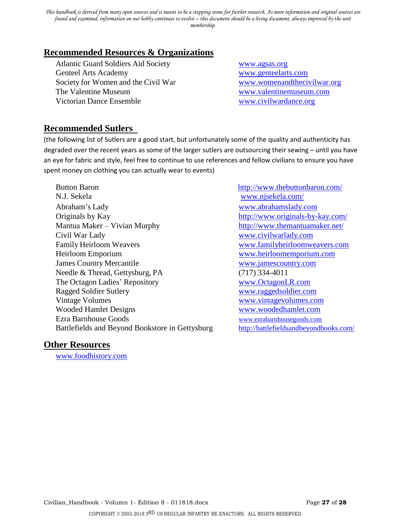## <span id="page-26-0"></span>**Recommended Resources & Organizations**

Atlantic Guard Soldiers Aid Society [www.agsas.org](http://www.agsas.org/) Genteel Arts Academy [www.genteelarts.com](http://www.genteelarts.com/) Society for Women and the Civil War [www.womenandthecivilwar.org](http://www.womenandthecivilwar.org/) The Valentine Museum [www.valentinemuseum.com](http://www.valentinemuseum.com/) Victorian Dance Ensemble [www.civilwardance.org](http://www.civilwardance.org/)

## <span id="page-26-1"></span>**Recommended Sutlers**

(the following list of Sutlers are a good start, but unfortunately some of the quality and authenticity has degraded over the recent years as some of the larger sutlers are outsourcing their sewing – until you have an eye for fabric and style, feel free to continue to use references and fellow civilians to ensure you have spent money on clothing you can actually wear to events)

Button Baron <http://www.thebuttonbaron.com/> N.J. Sekela www.njsekela.com/ Abraham's Lady [www.abrahamslady.com](http://www.abrahamslady.com/) Originals by Kay <http://www.originals-by-kay.com/> Mantua Maker – Vivian Murphy <http://www.themantuamaker.net/> Civil War Lady [www.civilwarlady.com](http://www.civilwarlady.com/) Family Heirloom Weavers [www.familyheirloomweavers.com](http://www.familyheirloomweavers.com/) Heirloom Emporium [www.heirloomemporium.com](http://www.heirloomemporium.com/) James Country Mercantile [www.jamescountry.com](http://www.jamescountry.com/) Needle & Thread, Gettysburg, PA (717) 334-4011 The Octagon Ladies' Repository [www.OctagonLR.com](http://www.octagonlr.com/) Ragged Soldier Sutlery [www.raggedsoldier.com](http://www.raggedsoldier.com/) Vintage Volumes [www.vintagevolumes.com](http://www.vintagevolumes.com/) Wooded Hamlet Designs [www.woodedhamlet.com](http://www.woodedhamlet.com/) Ezra Barnhouse Goods [www.ezrabarnhousegoods.com](http://www.ezrabarnhousegoods.com/) Battlefields and Beyond Bookstore in Gettysburg <http://battlefieldsandbeyondbooks.com/>

## <span id="page-26-2"></span>**Other Resources**

[www.foodhistory.com](http://www.foodhistory.com/)